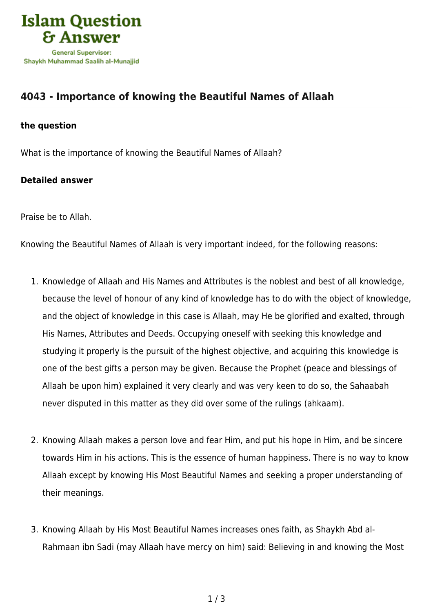

## **[4043 - Importance of knowing the Beautiful Names of Allaah](https://islamqa.com/en/answers/4043/importance-of-knowing-the-beautiful-names-of-allaah)**

## **the question**

What is the importance of knowing the Beautiful Names of Allaah?

## **Detailed answer**

Praise be to Allah.

Knowing the Beautiful Names of Allaah is very important indeed, for the following reasons:

- 1. Knowledge of Allaah and His Names and Attributes is the noblest and best of all knowledge, because the level of honour of any kind of knowledge has to do with the object of knowledge, and the object of knowledge in this case is Allaah, may He be glorified and exalted, through His Names, Attributes and Deeds. Occupying oneself with seeking this knowledge and studying it properly is the pursuit of the highest objective, and acquiring this knowledge is one of the best gifts a person may be given. Because the Prophet (peace and blessings of Allaah be upon him) explained it very clearly and was very keen to do so, the Sahaabah never disputed in this matter as they did over some of the rulings (ahkaam).
- 2. Knowing Allaah makes a person love and fear Him, and put his hope in Him, and be sincere towards Him in his actions. This is the essence of human happiness. There is no way to know Allaah except by knowing His Most Beautiful Names and seeking a proper understanding of their meanings.
- 3. Knowing Allaah by His Most Beautiful Names increases ones faith, as Shaykh Abd al-Rahmaan ibn Sadi (may Allaah have mercy on him) said: Believing in and knowing the Most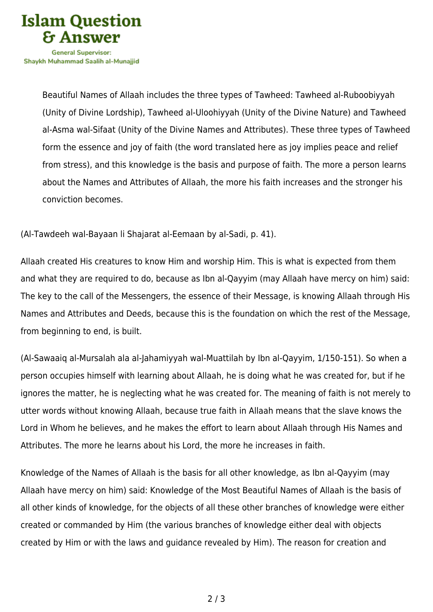

Beautiful Names of Allaah includes the three types of Tawheed: Tawheed al-Ruboobiyyah (Unity of Divine Lordship), Tawheed al-Uloohiyyah (Unity of the Divine Nature) and Tawheed al-Asma wal-Sifaat (Unity of the Divine Names and Attributes). These three types of Tawheed form the essence and joy of faith (the word translated here as joy implies peace and relief from stress), and this knowledge is the basis and purpose of faith. The more a person learns about the Names and Attributes of Allaah, the more his faith increases and the stronger his conviction becomes.

(Al-Tawdeeh wal-Bayaan li Shajarat al-Eemaan by al-Sadi, p. 41).

Allaah created His creatures to know Him and worship Him. This is what is expected from them and what they are required to do, because as Ibn al-Qayyim (may Allaah have mercy on him) said: The key to the call of the Messengers, the essence of their Message, is knowing Allaah through His Names and Attributes and Deeds, because this is the foundation on which the rest of the Message, from beginning to end, is built.

(Al-Sawaaiq al-Mursalah ala al-Jahamiyyah wal-Muattilah by Ibn al-Qayyim, 1/150-151). So when a person occupies himself with learning about Allaah, he is doing what he was created for, but if he ignores the matter, he is neglecting what he was created for. The meaning of faith is not merely to utter words without knowing Allaah, because true faith in Allaah means that the slave knows the Lord in Whom he believes, and he makes the effort to learn about Allaah through His Names and Attributes. The more he learns about his Lord, the more he increases in faith.

Knowledge of the Names of Allaah is the basis for all other knowledge, as Ibn al-Qayyim (may Allaah have mercy on him) said: Knowledge of the Most Beautiful Names of Allaah is the basis of all other kinds of knowledge, for the objects of all these other branches of knowledge were either created or commanded by Him (the various branches of knowledge either deal with objects created by Him or with the laws and guidance revealed by Him). The reason for creation and